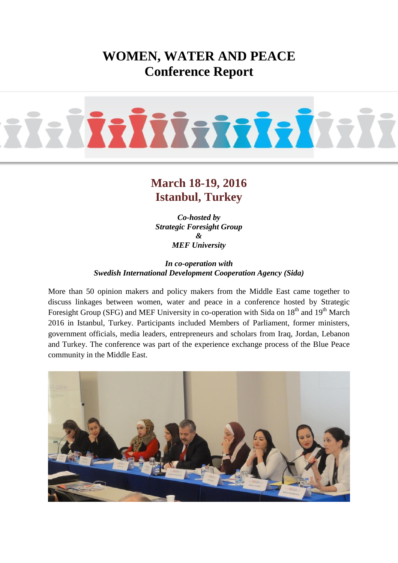# **WOMEN, WATER AND PEACE Conference Report**



## **March 18-19, 2016 Istanbul, Turkey**

*Co-hosted by Strategic Foresight Group & MEF University*

*In co-operation with Swedish International Development Cooperation Agency (Sida)*

More than 50 opinion makers and policy makers from the Middle East came together to discuss linkages between women, water and peace in a conference hosted by Strategic Foresight Group (SFG) and MEF University in co-operation with Sida on 18<sup>th</sup> and 19<sup>th</sup> March 2016 in Istanbul, Turkey. Participants included Members of Parliament, former ministers, government officials, media leaders, entrepreneurs and scholars from Iraq, Jordan, Lebanon and Turkey. The conference was part of the experience exchange process of the Blue Peace community in the Middle East.

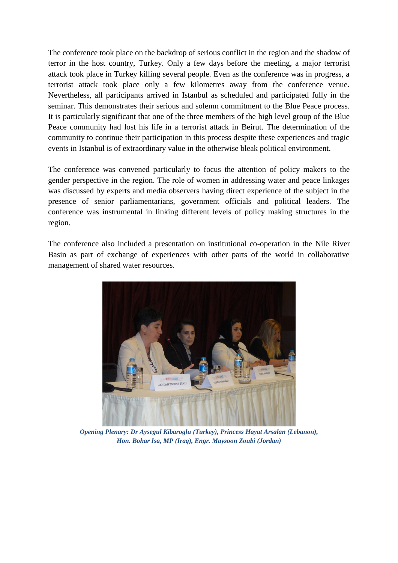The conference took place on the backdrop of serious conflict in the region and the shadow of terror in the host country, Turkey. Only a few days before the meeting, a major terrorist attack took place in Turkey killing several people. Even as the conference was in progress, a terrorist attack took place only a few kilometres away from the conference venue. Nevertheless, all participants arrived in Istanbul as scheduled and participated fully in the seminar. This demonstrates their serious and solemn commitment to the Blue Peace process. It is particularly significant that one of the three members of the high level group of the Blue Peace community had lost his life in a terrorist attack in Beirut. The determination of the community to continue their participation in this process despite these experiences and tragic events in Istanbul is of extraordinary value in the otherwise bleak political environment.

The conference was convened particularly to focus the attention of policy makers to the gender perspective in the region. The role of women in addressing water and peace linkages was discussed by experts and media observers having direct experience of the subject in the presence of senior parliamentarians, government officials and political leaders. The conference was instrumental in linking different levels of policy making structures in the region.

The conference also included a presentation on institutional co-operation in the Nile River Basin as part of exchange of experiences with other parts of the world in collaborative management of shared water resources.



*Opening Plenary: Dr Aysegul Kibaroglu (Turkey), Princess Hayat Arsalan (Lebanon), Hon. Bohar Isa, MP (Iraq), Engr. Maysoon Zoubi (Jordan)*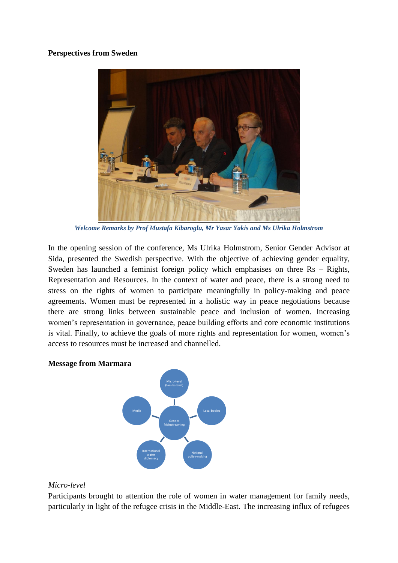## **Perspectives from Sweden**



*Welcome Remarks by Prof Mustafa Kibaroglu, Mr Yasar Yakis and Ms Ulrika Holmstrom* 

In the opening session of the conference, Ms Ulrika Holmstrom, Senior Gender Advisor at Sida, presented the Swedish perspective. With the objective of achieving gender equality, Sweden has launched a feminist foreign policy which emphasises on three Rs – Rights, Representation and Resources. In the context of water and peace, there is a strong need to stress on the rights of women to participate meaningfully in policy-making and peace agreements. Women must be represented in a holistic way in peace negotiations because there are strong links between sustainable peace and inclusion of women. Increasing women's representation in governance, peace building efforts and core economic institutions is vital. Finally, to achieve the goals of more rights and representation for women, women's access to resources must be increased and channelled.

## **Message from Marmara**



## *Micro-level*

Participants brought to attention the role of women in water management for family needs, particularly in light of the refugee crisis in the Middle-East. The increasing influx of refugees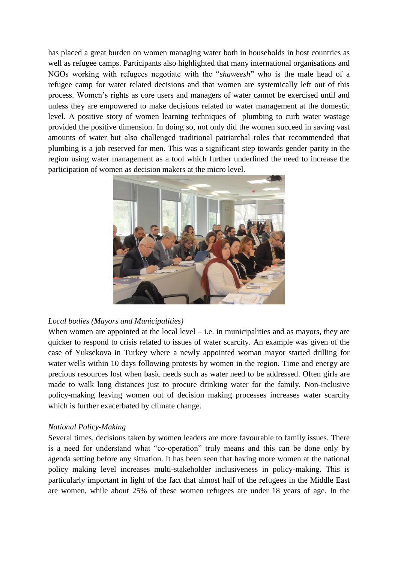has placed a great burden on women managing water both in households in host countries as well as refugee camps. Participants also highlighted that many international organisations and NGOs working with refugees negotiate with the "*shaweesh*" who is the male head of a refugee camp for water related decisions and that women are systemically left out of this process. Women's rights as core users and managers of water cannot be exercised until and unless they are empowered to make decisions related to water management at the domestic level. A positive story of women learning techniques of plumbing to curb water wastage provided the positive dimension. In doing so, not only did the women succeed in saving vast amounts of water but also challenged traditional patriarchal roles that recommended that plumbing is a job reserved for men. This was a significant step towards gender parity in the region using water management as a tool which further underlined the need to increase the participation of women as decision makers at the micro level.



## *Local bodies (Mayors and Municipalities)*

When women are appointed at the local level  $-$  i.e. in municipalities and as mayors, they are quicker to respond to crisis related to issues of water scarcity. An example was given of the case of Yuksekova in Turkey where a newly appointed woman mayor started drilling for water wells within 10 days following protests by women in the region. Time and energy are precious resources lost when basic needs such as water need to be addressed. Often girls are made to walk long distances just to procure drinking water for the family. Non-inclusive policy-making leaving women out of decision making processes increases water scarcity which is further exacerbated by climate change.

## *National Policy-Making*

Several times, decisions taken by women leaders are more favourable to family issues. There is a need for understand what "co-operation" truly means and this can be done only by agenda setting before any situation. It has been seen that having more women at the national policy making level increases multi-stakeholder inclusiveness in policy-making. This is particularly important in light of the fact that almost half of the refugees in the Middle East are women, while about 25% of these women refugees are under 18 years of age. In the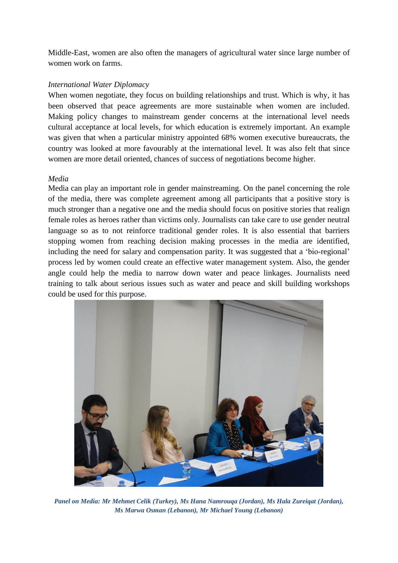Middle-East, women are also often the managers of agricultural water since large number of women work on farms.

## *International Water Diplomacy*

When women negotiate, they focus on building relationships and trust. Which is why, it has been observed that peace agreements are more sustainable when women are included. Making policy changes to mainstream gender concerns at the international level needs cultural acceptance at local levels, for which education is extremely important. An example was given that when a particular ministry appointed 68% women executive bureaucrats, the country was looked at more favourably at the international level. It was also felt that since women are more detail oriented, chances of success of negotiations become higher.

## *Media*

Media can play an important role in gender mainstreaming. On the panel concerning the role of the media, there was complete agreement among all participants that a positive story is much stronger than a negative one and the media should focus on positive stories that realign female roles as heroes rather than victims only. Journalists can take care to use gender neutral language so as to not reinforce traditional gender roles. It is also essential that barriers stopping women from reaching decision making processes in the media are identified, including the need for salary and compensation parity. It was suggested that a 'bio-regional' process led by women could create an effective water management system. Also, the gender angle could help the media to narrow down water and peace linkages. Journalists need training to talk about serious issues such as water and peace and skill building workshops could be used for this purpose.



*Panel on Media: Mr Mehmet Celik (Turkey), Ms Hana Namrouqa (Jordan), Ms Hala Zureiqat (Jordan), Ms Marwa Osman (Lebanon), Mr Michael Young (Lebanon)*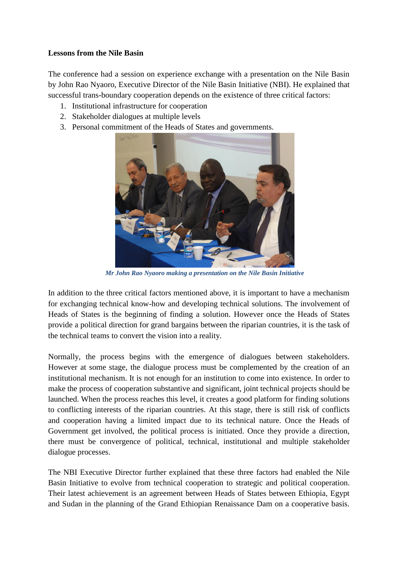## **Lessons from the Nile Basin**

The conference had a session on experience exchange with a presentation on the Nile Basin by John Rao Nyaoro, Executive Director of the Nile Basin Initiative (NBI). He explained that successful trans-boundary cooperation depends on the existence of three critical factors:

- 1. Institutional infrastructure for cooperation
- 2. Stakeholder dialogues at multiple levels
- 3. Personal commitment of the Heads of States and governments.



*Mr John Rao Nyaoro making a presentation on the Nile Basin Initiative*

In addition to the three critical factors mentioned above, it is important to have a mechanism for exchanging technical know-how and developing technical solutions. The involvement of Heads of States is the beginning of finding a solution. However once the Heads of States provide a political direction for grand bargains between the riparian countries, it is the task of the technical teams to convert the vision into a reality.

Normally, the process begins with the emergence of dialogues between stakeholders. However at some stage, the dialogue process must be complemented by the creation of an institutional mechanism. It is not enough for an institution to come into existence. In order to make the process of cooperation substantive and significant, joint technical projects should be launched. When the process reaches this level, it creates a good platform for finding solutions to conflicting interests of the riparian countries. At this stage, there is still risk of conflicts and cooperation having a limited impact due to its technical nature. Once the Heads of Government get involved, the political process is initiated. Once they provide a direction, there must be convergence of political, technical, institutional and multiple stakeholder dialogue processes.

The NBI Executive Director further explained that these three factors had enabled the Nile Basin Initiative to evolve from technical cooperation to strategic and political cooperation. Their latest achievement is an agreement between Heads of States between Ethiopia, Egypt and Sudan in the planning of the Grand Ethiopian Renaissance Dam on a cooperative basis.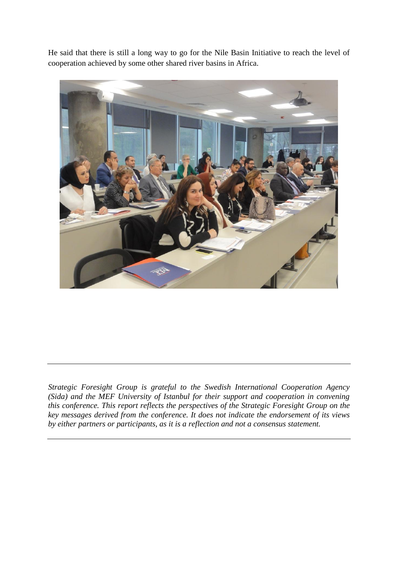He said that there is still a long way to go for the Nile Basin Initiative to reach the level of cooperation achieved by some other shared river basins in Africa.



*Strategic Foresight Group is grateful to the Swedish International Cooperation Agency (Sida) and the MEF University of Istanbul for their support and cooperation in convening this conference. This report reflects the perspectives of the Strategic Foresight Group on the key messages derived from the conference. It does not indicate the endorsement of its views by either partners or participants, as it is a reflection and not a consensus statement.*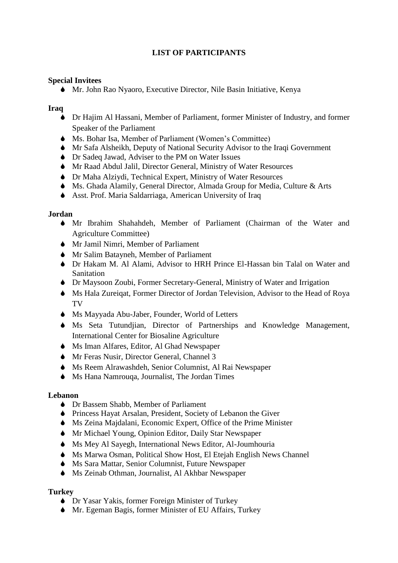## **LIST OF PARTICIPANTS**

## **Special Invitees**

Mr. John Rao Nyaoro, Executive Director, Nile Basin Initiative, Kenya

## **Iraq**

- Dr Hajim Al Hassani, Member of Parliament, former Minister of Industry, and former Speaker of the Parliament
- Ms. Bohar Isa, Member of Parliament (Women's Committee)
- Mr Safa Alsheikh, Deputy of National Security Advisor to the Iraqi Government
- Dr Sadeq Jawad, Adviser to the PM on Water Issues
- Mr Raad Abdul Jalil, Director General, Ministry of Water Resources
- Dr Maha Alziydi, Technical Expert, Ministry of Water Resources
- Ms. Ghada Alamily, General Director, Almada Group for Media, Culture & Arts
- Asst. Prof. Maria Saldarriaga, American University of Iraq

## **Jordan**

- Mr Ibrahim Shahahdeh, Member of Parliament (Chairman of the Water and Agriculture Committee)
- Mr Jamil Nimri, Member of Parliament
- Mr Salim Batayneh, Member of Parliament
- Dr Hakam M. Al Alami, Advisor to HRH Prince El-Hassan bin Talal on Water and **Sanitation**
- Dr Maysoon Zoubi, Former Secretary-General, Ministry of Water and Irrigation
- Ms Hala Zureiqat, Former Director of Jordan Television, Advisor to the Head of Roya TV
- Ms Mayyada Abu-Jaber, Founder, World of Letters
- Ms Seta Tutundjian, Director of Partnerships and Knowledge Management, International Center for Biosaline Agriculture
- Ms Iman Alfares, Editor, Al Ghad Newspaper
- Mr Feras Nusir, Director General, Channel 3
- Ms Reem Alrawashdeh, Senior Columnist, Al Rai Newspaper
- Ms Hana Namrouqa, Journalist, The Jordan Times

## **Lebanon**

- Dr Bassem Shabb, Member of Parliament
- Princess Hayat Arsalan, President, Society of Lebanon the Giver
- Ms Zeina Majdalani, Economic Expert, Office of the Prime Minister
- Mr Michael Young, Opinion Editor, Daily Star Newspaper
- Ms Mey Al Sayegh, International News Editor, Al-Joumhouria
- Ms Marwa Osman, Political Show Host, El Etejah English News Channel
- Ms Sara Mattar, Senior Columnist, Future Newspaper
- Ms Zeinab Othman, Journalist, Al Akhbar Newspaper

## **Turkey**

- Dr Yasar Yakis, former Foreign Minister of Turkey
- Mr. Egeman Bagis, former Minister of EU Affairs, Turkey